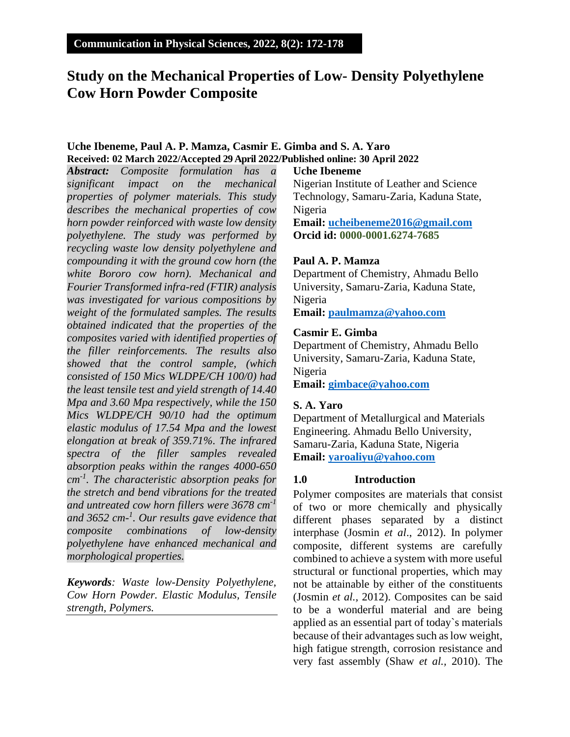## **Study on the Mechanical Properties of Low- Density Polyethylene Cow Horn Powder Composite**

## **Uche Ibeneme, Paul A. P. Mamza, Casmir E. Gimba and S. A. Yaro Received: 02 March 2022/Accepted 29 April 2022/Published online: 30 April 2022**

*Abstract: Composite formulation has a significant impact on the mechanical properties of polymer materials. This study describes the mechanical properties of cow horn powder reinforced with waste low density polyethylene. The study was performed by recycling waste low density polyethylene and compounding it with the ground cow horn (the white Bororo cow horn). Mechanical and Fourier Transformed infra-red (FTIR) analysis was investigated for various compositions by weight of the formulated samples. The results obtained indicated that the properties of the composites varied with identified properties of the filler reinforcements. The results also showed that the control sample, (which consisted of 150 Mics WLDPE/CH 100/0) had the least tensile test and yield strength of 14.40 Mpa and 3.60 Mpa respectively, while the 150 Mics WLDPE/CH 90/10 had the optimum elastic modulus of 17.54 Mpa and the lowest elongation at break of 359.71%. The infrared spectra of the filler samples revealed absorption peaks within the ranges 4000-650 cm-1 . The characteristic absorption peaks for the stretch and bend vibrations for the treated and untreated cow horn fillers were 3678 cm-1 and 3652 cm-1 . Our results gave evidence that composite combinations of low-density polyethylene have enhanced mechanical and morphological properties.*

*Keywords: Waste low-Density Polyethylene, Cow Horn Powder. Elastic Modulus, Tensile strength, Polymers.*

## **Uche Ibeneme**

Nigerian Institute of Leather and Science Technology, Samaru-Zaria, Kaduna State, Nigeria **Email: [ucheibeneme2016@gmail.com](mailto:ucheibeneme2016@gmail.com) Orcid id: 0000-0001.6274-7685**

## **Paul A. P. Mamza**

Department of Chemistry, Ahmadu Bello University, Samaru-Zaria, Kaduna State, Nigeria **Email: [paulmamza@yahoo.com](mailto:paulmamza@yahoo.com)**

## **Casmir E. Gimba**

Department of Chemistry, Ahmadu Bello University, Samaru-Zaria, Kaduna State, Nigeria **Email: [gimbace@yahoo.com](mailto:gimbace@yahoo.com)**

## **S. A. Yaro**

Department of Metallurgical and Materials Engineering. Ahmadu Bello University, Samaru-Zaria, Kaduna State, Nigeria **Email: [yaroaliyu@yahoo.com](mailto:yaroaliyu@yahoo.com)**

## **1.0 Introduction**

Polymer composites are materials that consist of two or more chemically and physically different phases separated by a distinct interphase (Josmin *et al*., 2012). In polymer composite, different systems are carefully combined to achieve a system with more useful structural or functional properties, which may not be attainable by either of the constituents (Josmin *et al.,* 2012). Composites can be said to be a wonderful material and are being applied as an essential part of today`s materials because of their advantages such as low weight, high fatigue strength, corrosion resistance and very fast assembly (Shaw *et al.,* 2010). The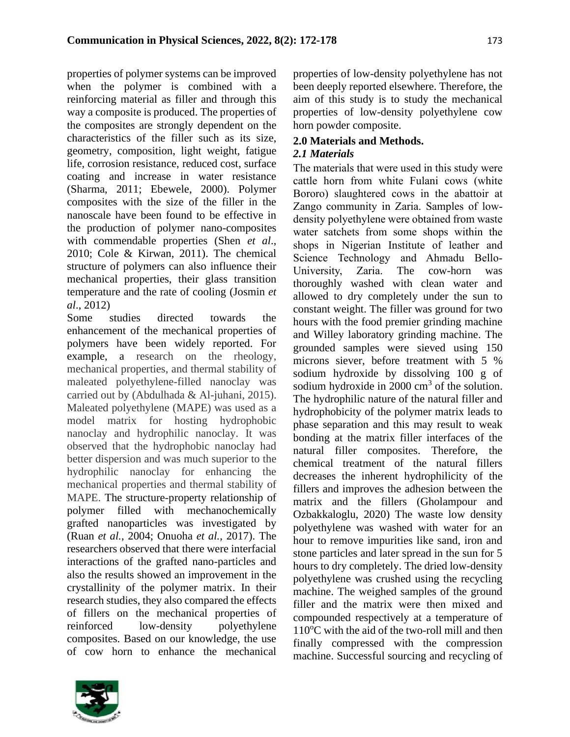properties of polymer systems can be improved when the polymer is combined with a reinforcing material as filler and through this way a composite is produced. The properties of the composites are strongly dependent on the characteristics of the filler such as its size, geometry, composition, light weight, fatigue life, corrosion resistance, reduced cost, surface coating and increase in water resistance (Sharma, 2011; Ebewele, 2000). Polymer composites with the size of the filler in the nanoscale have been found to be effective in the production of polymer nano-composites with commendable properties (Shen *et al*., 2010; Cole & Kirwan, 2011). The chemical structure of polymers can also influence their mechanical properties, their glass transition temperature and the rate of cooling (Josmin *et al*., 2012)

Some studies directed towards the enhancement of the mechanical properties of polymers have been widely reported. For example, a research on the rheology, mechanical properties, and thermal stability of maleated polyethylene-filled nanoclay was carried out by (Abdulhada & Al-juhani, 2015). Maleated polyethylene (MAPE) was used as a model matrix for hosting hydrophobic nanoclay and hydrophilic nanoclay. It was observed that the hydrophobic nanoclay had better dispersion and was much superior to the hydrophilic nanoclay for enhancing the mechanical properties and thermal stability of MAPE. The structure-property relationship of polymer filled with mechanochemically grafted nanoparticles was investigated by (Ruan *et al.*, 2004; Onuoha *et al.,* 2017). The researchers observed that there were interfacial interactions of the grafted nano-particles and also the results showed an improvement in the crystallinity of the polymer matrix. In their research studies, they also compared the effects of fillers on the mechanical properties of reinforced low-density polyethylene composites. Based on our knowledge, the use of cow horn to enhance the mechanical

properties of low-density polyethylene has not been deeply reported elsewhere. Therefore, the aim of this study is to study the mechanical properties of low-density polyethylene cow horn powder composite.

# **2.0 Materials and Methods.**

## *2.1 Materials*

The materials that were used in this study were cattle horn from white Fulani cows (white Bororo) slaughtered cows in the abattoir at Zango community in Zaria. Samples of lowdensity polyethylene were obtained from waste water satchets from some shops within the shops in Nigerian Institute of leather and Science Technology and Ahmadu Bello-University, Zaria. The cow-horn was thoroughly washed with clean water and allowed to dry completely under the sun to constant weight. The filler was ground for two hours with the food premier grinding machine and Willey laboratory grinding machine. The grounded samples were sieved using 150 microns siever, before treatment with 5 % sodium hydroxide by dissolving 100 g of sodium hydroxide in  $2000 \text{ cm}^3$  of the solution. The hydrophilic nature of the natural filler and hydrophobicity of the polymer matrix leads to phase separation and this may result to weak bonding at the matrix filler interfaces of the natural filler composites. Therefore, the chemical treatment of the natural fillers decreases the inherent hydrophilicity of the fillers and improves the adhesion between the matrix and the fillers (Gholampour and Ozbakkaloglu, 2020) The waste low density polyethylene was washed with water for an hour to remove impurities like sand, iron and stone particles and later spread in the sun for 5 hours to dry completely. The dried low-density polyethylene was crushed using the recycling machine. The weighed samples of the ground filler and the matrix were then mixed and compounded respectively at a temperature of  $110^{\circ}$ C with the aid of the two-roll mill and then finally compressed with the compression machine. Successful sourcing and recycling of

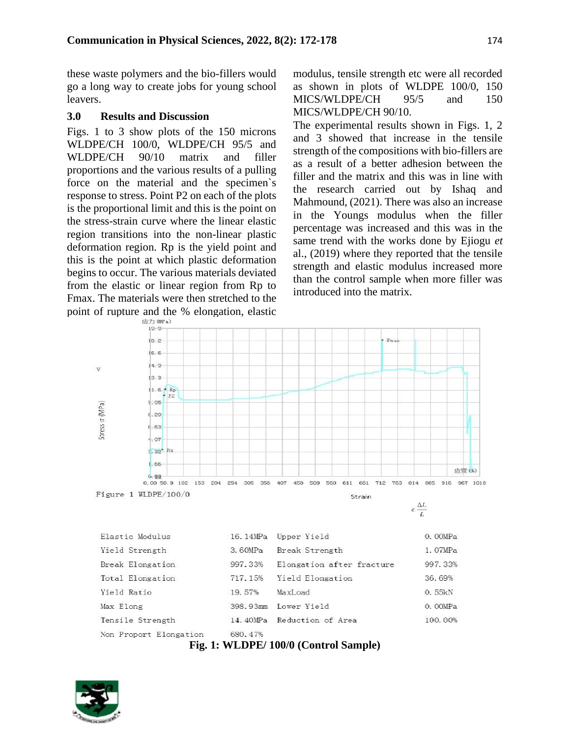these waste polymers and the bio-fillers would go a long way to create jobs for young school leavers.

#### **3.0 Results and Discussion**

Figs. 1 to 3 show plots of the 150 microns WLDPE/CH 100/0, WLDPE/CH 95/5 and WLDPE/CH 90/10 matrix and filler proportions and the various results of a pulling force on the material and the specimen`s response to stress. Point P2 on each of the plots is the proportional limit and this is the point on the stress-strain curve where the linear elastic region transitions into the non-linear plastic deformation region. Rp is the yield point and this is the point at which plastic deformation begins to occur. The various materials deviated from the elastic or linear region from Rp to Fmax. The materials were then stretched to the point of rupture and the % elongation, elastic  $\frac{1}{(2\pi)^{0.007}}$ 

modulus, tensile strength etc were all recorded as shown in plots of WLDPE 100/0, 150 MICS/WLDPE/CH 95/5 and 150 MICS/WLDPE/CH 90/10.

The experimental results shown in Figs. 1, 2 and 3 showed that increase in the tensile strength of the compositions with bio-fillers are as a result of a better adhesion between the filler and the matrix and this was in line with the research carried out by Ishaq and Mahmound, (2021). There was also an increase in the Youngs modulus when the filler percentage was increased and this was in the same trend with the works done by Ejiogu *et*  al., (2019) where they reported that the tensile strength and elastic modulus increased more than the control sample when more filler was introduced into the matrix.



**Fig. 1: WLDPE/ 100/0 (Control Sample)**

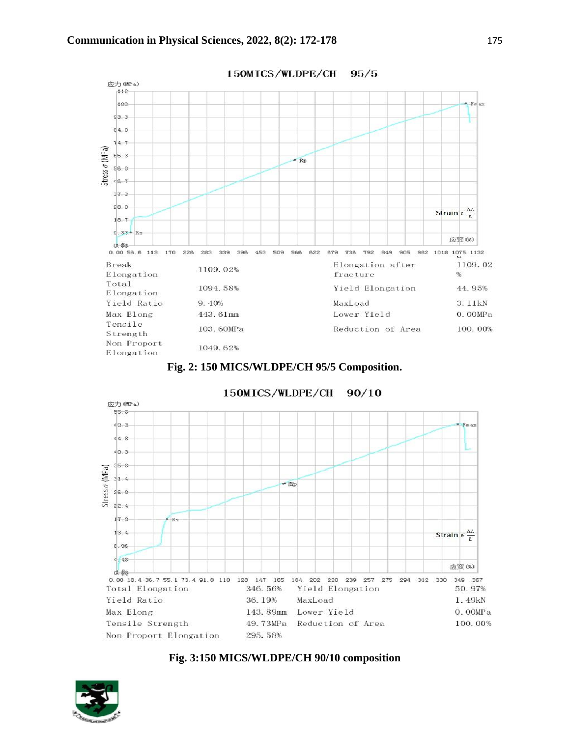





150MICS/WLDPE/CH  $90/10$ 

#### **Fig. 3:150 MICS/WLDPE/CH 90/10 composition**

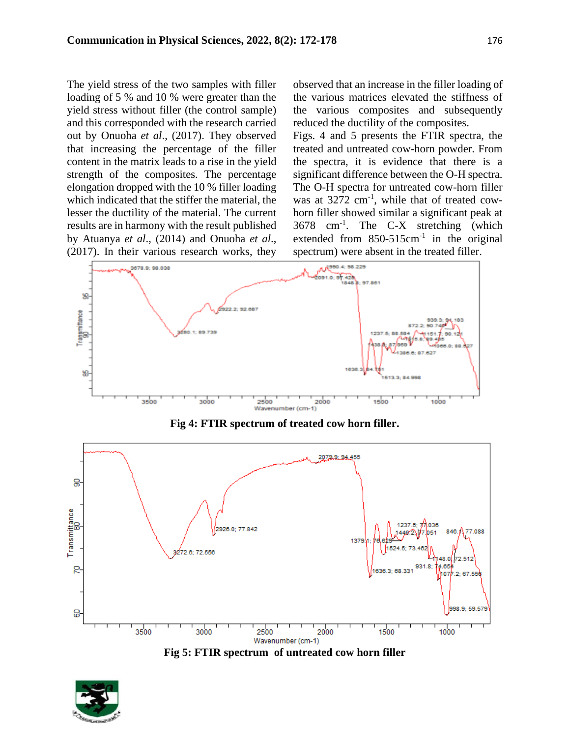The yield stress of the two samples with filler loading of 5 % and 10 % were greater than the yield stress without filler (the control sample) and this corresponded with the research carried out by Onuoha *et al*., (2017). They observed that increasing the percentage of the filler content in the matrix leads to a rise in the yield strength of the composites. The percentage elongation dropped with the 10 % filler loading which indicated that the stiffer the material, the lesser the ductility of the material. The current results are in harmony with the result published by Atuanya *et al*., (2014) and Onuoha *et al*., (2017). In their various research works, they

observed that an increase in the filler loading of the various matrices elevated the stiffness of the various composites and subsequently reduced the ductility of the composites.

Figs. 4 and 5 presents the FTIR spectra, the treated and untreated cow-horn powder. From the spectra, it is evidence that there is a significant difference between the O-H spectra. The O-H spectra for untreated cow-horn filler was at 3272 cm<sup>-1</sup>, while that of treated cowhorn filler showed similar a significant peak at 3678 cm-1 . The C-X stretching (which extended from  $850-515$ cm<sup>-1</sup> in the original spectrum) were absent in the treated filler.



**Fig 4: FTIR spectrum of treated cow horn filler.**





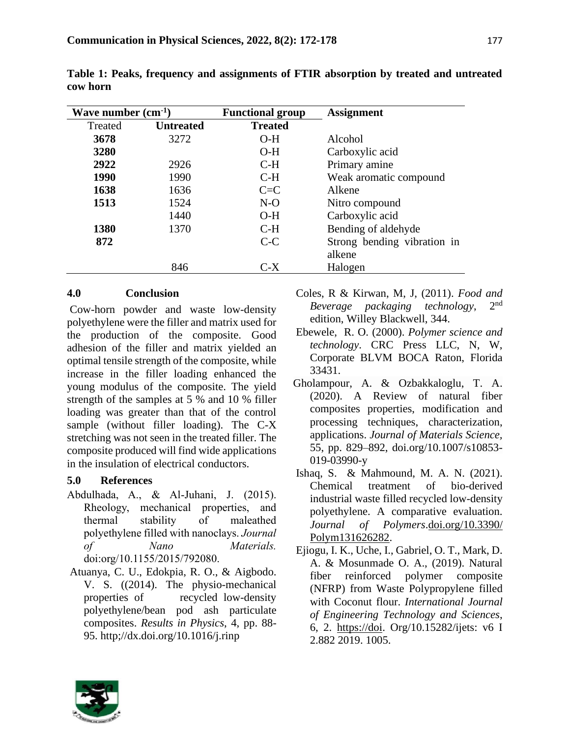| Wave number $(cm^{-1})$ |                  | <b>Functional group</b> | <b>Assignment</b>           |
|-------------------------|------------------|-------------------------|-----------------------------|
| Treated                 | <b>Untreated</b> | <b>Treated</b>          |                             |
| 3678                    | 3272             | $O-H$                   | Alcohol                     |
| 3280                    |                  | $O-H$                   | Carboxylic acid             |
| 2922                    | 2926             | $C-H$                   | Primary amine               |
| 1990                    | 1990             | $C-H$                   | Weak aromatic compound      |
| 1638                    | 1636             | $C = C$                 | Alkene                      |
| 1513                    | 1524             | $N-O$                   | Nitro compound              |
|                         | 1440             | $O-H$                   | Carboxylic acid             |
| 1380                    | 1370             | $C-H$                   | Bending of aldehyde         |
| 872                     |                  | $C-C$                   | Strong bending vibration in |
|                         |                  |                         | alkene                      |
|                         | 846              | C-X                     | Halogen                     |

**Table 1: Peaks, frequency and assignments of FTIR absorption by treated and untreated cow horn**

## **4.0 Conclusion**

Cow-horn powder and waste low-density polyethylene were the filler and matrix used for the production of the composite. Good adhesion of the filler and matrix yielded an optimal tensile strength of the composite, while increase in the filler loading enhanced the young modulus of the composite. The yield strength of the samples at 5 % and 10 % filler loading was greater than that of the control sample (without filler loading). The C-X stretching was not seen in the treated filler. The composite produced will find wide applications in the insulation of electrical conductors.

## **5.0 References**

- Abdulhada, A., & Al-Juhani, J. (2015). Rheology, mechanical properties, and thermal stability of maleathed polyethylene filled with nanoclays. *Journal of Nano Materials.* doi:org/10.1155/2015/792080.
- Atuanya, C. U., Edokpia, R. O., & Aigbodo. V. S. ((2014). The physio-mechanical properties of recycled low-density polyethylene/bean pod ash particulate composites. *Results in Physics*, 4, pp. 88- 95. http;//dx.doi.org/10.1016/j.rinp

Coles, R & Kirwan, M, J, (2011). *Food and Beverage packaging technology*, 2  $2<sub>nd</sub>$ edition, Willey Blackwell, 344.

- Ebewele, R. O. (2000). *Polymer science and technology*. CRC Press LLC, N, W, Corporate BLVM BOCA Raton, Florida 33431.
- Gholampour, A. & Ozbakkaloglu, T. A. (2020). A Review of natural fiber composites properties, modification and processing techniques, characterization, applications. *Journal of Materials Science,*  55, pp. 829–892, doi.org/10.1007/s10853- 019-03990-y
- Ishaq, S. & Mahmound, M. A. N. (2021). Chemical treatment of bio-derived industrial waste filled recycled low-density polyethylene. A comparative evaluation. *Journal of Polymers*[.doi.org/10.3390/](file:///C:/Users/HP/Downloads/doi.org/10.3390/Polym131626282) [Polym131626282.](file:///C:/Users/HP/Downloads/doi.org/10.3390/Polym131626282)
- Ejiogu, I. K., Uche, I., Gabriel, O. T., Mark, D. A. & Mosunmade O. A., (2019). Natural fiber reinforced polymer composite (NFRP) from Waste Polypropylene filled with Coconut flour. *International Journal of Engineering Technology and Sciences*, 6, 2. [https://doi.](https://doi/) Org/10.15282/ijets: v6 I 2.882 2019. 1005.